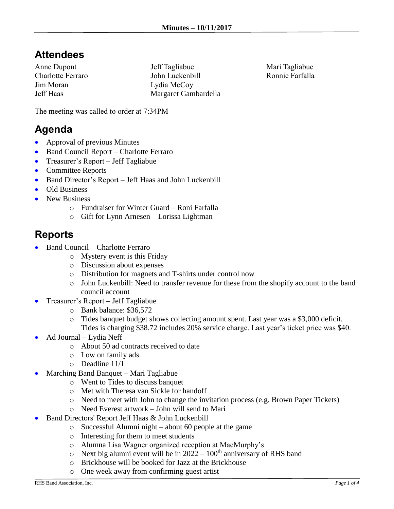## **Attendees**

Anne Dupont Charlotte Ferraro Jim Moran Jeff Haas

Jeff Tagliabue John Luckenbill Lydia McCoy Margaret Gambardella Mari Tagliabue Ronnie Farfalla

The meeting was called to order at 7:34PM

## **Agenda**

- Approval of previous Minutes
- Band Council Report Charlotte Ferraro
- Treasurer's Report Jeff Tagliabue
- Committee Reports
- Band Director's Report Jeff Haas and John Luckenbill
- Old Business
- New Business
	- o Fundraiser for Winter Guard Roni Farfalla
	- o Gift for Lynn Arnesen Lorissa Lightman

## **Reports**

- Band Council Charlotte Ferraro
	- o Mystery event is this Friday
	- o Discussion about expenses
	- o Distribution for magnets and T-shirts under control now
	- o John Luckenbill: Need to transfer revenue for these from the shopify account to the band council account
- Treasurer's Report Jeff Tagliabue
	- o Bank balance: \$36,572
	- o Tides banquet budget shows collecting amount spent. Last year was a \$3,000 deficit. Tides is charging \$38.72 includes 20% service charge. Last year's ticket price was \$40.
- Ad Journal Lydia Neff
	- o About 50 ad contracts received to date
	- o Low on family ads
	- o Deadline 11/1
- Marching Band Banquet Mari Tagliabue
	- o Went to Tides to discuss banquet
	- o Met with Theresa van Sickle for handoff
	- o Need to meet with John to change the invitation process (e.g. Brown Paper Tickets)
	- o Need Everest artwork John will send to Mari
- Band Directors' Report Jeff Haas & John Luckenbill
	- o Successful Alumni night about 60 people at the game
	- o Interesting for them to meet students
	- o Alumna Lisa Wagner organized reception at MacMurphy's
	- $\circ$  Next big alumni event will be in 2022 100<sup>th</sup> anniversary of RHS band
	- o Brickhouse will be booked for Jazz at the Brickhouse
	- o One week away from confirming guest artist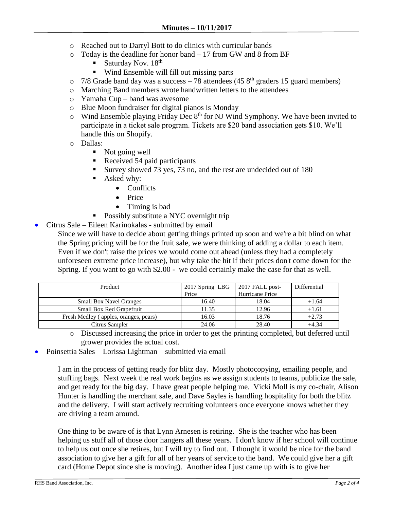- o Reached out to Darryl Bott to do clinics with curricular bands
- o Today is the deadline for honor band 17 from GW and 8 from BF
	- Saturday Nov.  $18<sup>th</sup>$
	- Wind Ensemble will fill out missing parts
- $\circ$  7/8 Grade band day was a success 78 attendees (45 8<sup>th</sup> graders 15 guard members)
- o Marching Band members wrote handwritten letters to the attendees
- o Yamaha Cup band was awesome
- o Blue Moon fundraiser for digital pianos is Monday
- $\circ$  Wind Ensemble playing Friday Dec 8<sup>th</sup> for NJ Wind Symphony. We have been invited to participate in a ticket sale program. Tickets are \$20 band association gets \$10. We'll handle this on Shopify.
- o Dallas:
	- Not going well
	- Received 54 paid participants
	- Survey showed 73 yes, 73 no, and the rest are undecided out of 180
	- Asked why:
		- Conflicts
		- Price
		- Timing is bad
	- Possibly substitute a NYC overnight trip
- Citrus Sale Eileen Karinokalas submitted by email

Since we will have to decide about getting things printed up soon and we're a bit blind on what the Spring pricing will be for the fruit sale, we were thinking of adding a dollar to each item. Even if we don't raise the prices we would come out ahead (unless they had a completely unforeseen extreme price increase), but why take the hit if their prices don't come down for the Spring. If you want to go with \$2.00 - we could certainly make the case for that as well.

| Product                               | 2017 Spring LBG<br>Price | 2017 FALL post-<br>Hurricane Price | Differential |
|---------------------------------------|--------------------------|------------------------------------|--------------|
| <b>Small Box Navel Oranges</b>        | 16.40                    | 18.04                              | $+1.64$      |
| Small Box Red Grapefruit              | 11.35                    | 12.96                              | $+1.61$      |
| Fresh Medley (apples, oranges, pears) | 16.03                    | 18.76                              | $+2.73$      |
| Citrus Sampler                        | 24.06                    | 28.40                              | $+4.34$      |

o Discussed increasing the price in order to get the printing completed, but deferred until grower provides the actual cost.

• Poinsettia Sales – Lorissa Lightman – submitted via email

I am in the process of getting ready for blitz day. Mostly photocopying, emailing people, and stuffing bags. Next week the real work begins as we assign students to teams, publicize the sale, and get ready for the big day. I have great people helping me. Vicki Moll is my co-chair, Alison Hunter is handling the merchant sale, and Dave Sayles is handling hospitality for both the blitz and the delivery. I will start actively recruiting volunteers once everyone knows whether they are driving a team around.

One thing to be aware of is that Lynn Arnesen is retiring. She is the teacher who has been helping us stuff all of those door hangers all these years. I don't know if her school will continue to help us out once she retires, but I will try to find out. I thought it would be nice for the band association to give her a gift for all of her years of service to the band. We could give her a gift card (Home Depot since she is moving). Another idea I just came up with is to give her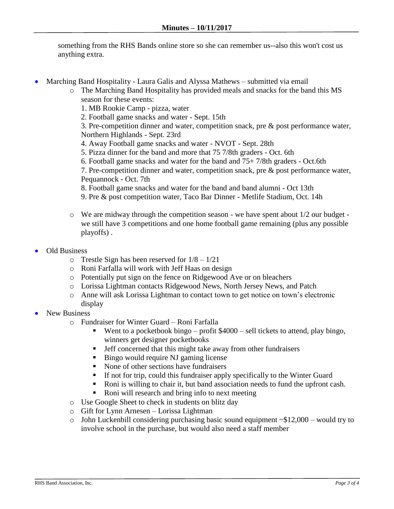something from the RHS Bands online store so she can remember us--also this won't cost us anything extra.

- Marching Band Hospitality Laura Galis and Alyssa Mathews submitted via email
	- o The Marching Band Hospitality has provided meals and snacks for the band this MS season for these events:
		- 1. MB Rookie Camp pizza, water
		- 2. Football game snacks and water Sept. 15th

3. Pre-competition dinner and water, competition snack, pre & post performance water, Northern Highlands - Sept. 23rd

- 4. Away Football game snacks and water NVOT Sept. 28th
- 5. Pizza dinner for the band and more that 75 7/8th graders Oct. 6th
- 6. Football game snacks and water for the band and 75+ 7/8th graders Oct.6th
- 7. Pre-competition dinner and water, competition snack, pre & post performance water, Pequannock - Oct. 7th
- 8. Football game snacks and water for the band and band alumni Oct 13th
- 9. Pre & post competition water, Taco Bar Dinner Metlife Stadium, Oct. 14h
- o We are midway through the competition season we have spent about 1/2 our budget we still have 3 competitions and one home football game remaining (plus any possible playoffs) .
- Old Business
	- $\circ$  Trestle Sign has been reserved for  $1/8 1/21$
	- o Roni Farfalla will work with Jeff Haas on design
	- o Potentially put sign on the fence on Ridgewood Ave or on bleachers
	- o Lorissa Lightman contacts Ridgewood News, North Jersey News, and Patch
	- o Anne will ask Lorissa Lightman to contact town to get notice on town's electronic display
- New Business
	- o Fundraiser for Winter Guard Roni Farfalla
		- Went to a pocketbook bingo profit  $$4000$  sell tickets to attend, play bingo, winners get designer pocketbooks
		- **•** Jeff concerned that this might take away from other fundraisers
		- Bingo would require NJ gaming license
		- None of other sections have fundraisers
		- **If not for trip, could this fundraiser apply specifically to the Winter Guard**
		- Roni is willing to chair it, but band association needs to fund the upfront cash.
		- Roni will research and bring info to next meeting
	- o Use Google Sheet to check in students on blitz day
	- o Gift for Lynn Arnesen Lorissa Lightman
	- $\circ$  John Luckenbill considering purchasing basic sound equipment  $\sim $12,000$  would try to involve school in the purchase, but would also need a staff member